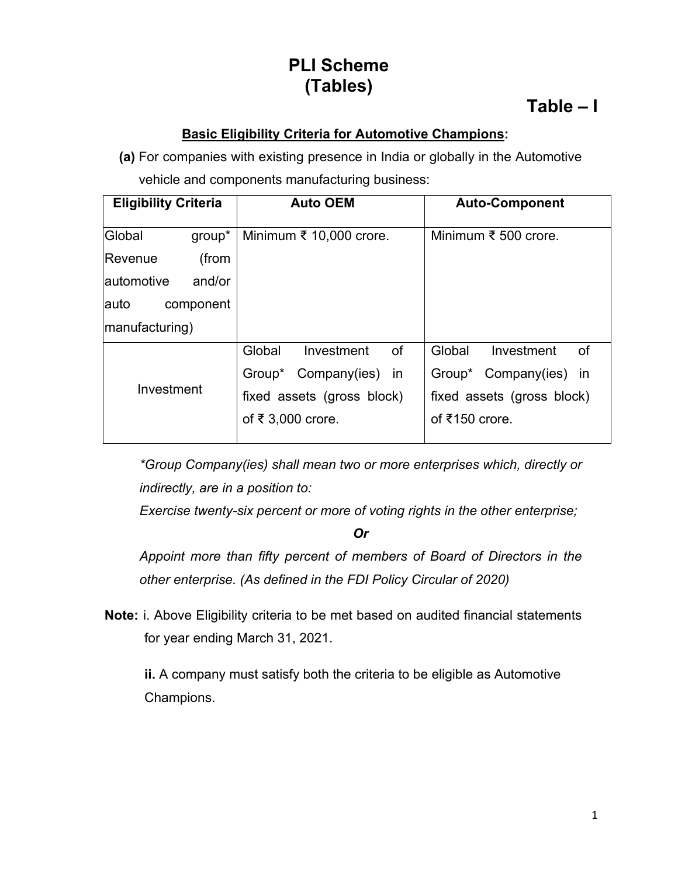# **PLI Scheme (Tables)**

## **Table – I**

### **Basic Eligibility Criteria for Automotive Champions:**

**(a)** For companies with existing presence in India or globally in the Automotive vehicle and components manufacturing business:

| <b>Eligibility Criteria</b> | <b>Auto OEM</b>                   | <b>Auto-Component</b>          |  |
|-----------------------------|-----------------------------------|--------------------------------|--|
| Global<br>$group^*$         | Minimum $\bar{\xi}$ 10,000 crore. | Minimum ₹ 500 crore.           |  |
| Revenue<br>(from            |                                   |                                |  |
| and/or<br>lautomotive       |                                   |                                |  |
| lauto<br>component          |                                   |                                |  |
| manufacturing)              |                                   |                                |  |
|                             | Global<br>Investment<br><b>of</b> | Global<br>Investment<br>0f     |  |
|                             | Group* Company(ies) in            | Group* Company(ies) in         |  |
| Investment                  | fixed assets (gross block)        | fixed assets (gross block)     |  |
|                             | of ₹ 3,000 crore.                 | of $\overline{\xi}$ 150 crore. |  |
|                             |                                   |                                |  |

*\*Group Company(ies) shall mean two or more enterprises which, directly or indirectly, are in a position to:*

*Exercise twenty-six percent or more of voting rights in the other enterprise;*

*Or*

*Appoint more than fifty percent of members of Board of Directors in the other enterprise. (As defined in the FDI Policy Circular of 2020)*

**Note:** i. Above Eligibility criteria to be met based on audited financial statements for year ending March 31, 2021.

**ii.** A company must satisfy both the criteria to be eligible as Automotive Champions.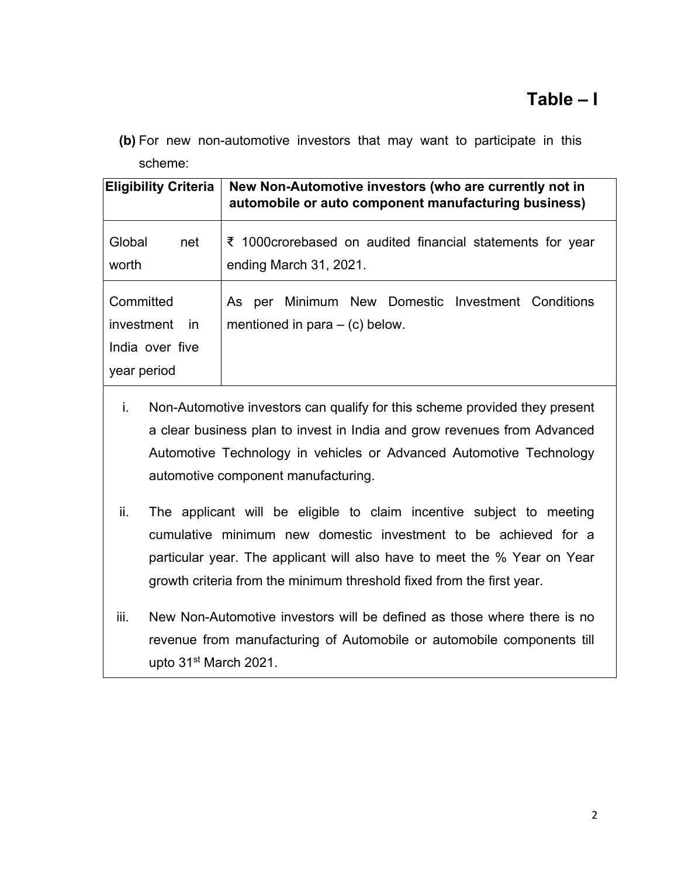**(b)** For new non-automotive investors that may want to participate in this scheme:

| <b>Eligibility Criteria</b>                                      | New Non-Automotive investors (who are currently not in<br>automobile or auto component manufacturing business) |  |
|------------------------------------------------------------------|----------------------------------------------------------------------------------------------------------------|--|
| Global<br>net<br>worth                                           | ₹ 1000 crorebased on audited financial statements for year<br>ending March 31, 2021.                           |  |
| Committed<br>investment<br>in.<br>India over five<br>year period | As per Minimum New Domestic Investment Conditions<br>mentioned in para $-$ (c) below.                          |  |

- i. Non-Automotive investors can qualify for this scheme provided they present a clear business plan to invest in India and grow revenues from Advanced Automotive Technology in vehicles or Advanced Automotive Technology automotive component manufacturing.
- ii. The applicant will be eligible to claim incentive subject to meeting cumulative minimum new domestic investment to be achieved for a particular year. The applicant will also have to meet the % Year on Year growth criteria from the minimum threshold fixed from the first year.
- iii. New Non-Automotive investors will be defined as those where there is no revenue from manufacturing of Automobile or automobile components till upto 31st March 2021.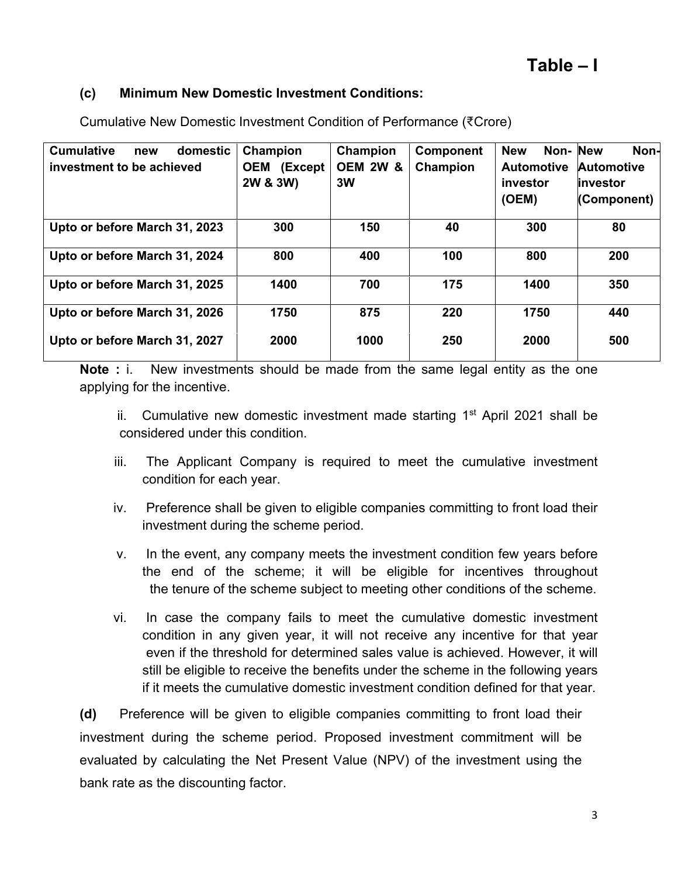#### **(c) Minimum New Domestic Investment Conditions:**

| <b>Cumulative</b><br>domestic<br>new<br>investment to be achieved | Champion<br>(Except<br><b>OEM</b><br>2W & 3W) | Champion<br><b>OEM 2W &amp;</b><br>3W | Component<br>Champion | Non-New<br><b>New</b><br><b>Automotive</b><br>investor<br>(OEM) | Non-<br><b>Automotive</b><br>linvestor<br>(Component) |
|-------------------------------------------------------------------|-----------------------------------------------|---------------------------------------|-----------------------|-----------------------------------------------------------------|-------------------------------------------------------|
| Upto or before March 31, 2023                                     | 300                                           | 150                                   | 40                    | 300                                                             | 80                                                    |
| Upto or before March 31, 2024                                     | 800                                           | 400                                   | 100                   | 800                                                             | 200                                                   |
| Upto or before March 31, 2025                                     | 1400                                          | 700                                   | 175                   | 1400                                                            | 350                                                   |
| Upto or before March 31, 2026                                     | 1750                                          | 875                                   | 220                   | 1750                                                            | 440                                                   |
| Upto or before March 31, 2027                                     | 2000                                          | 1000                                  | 250                   | 2000                                                            | 500                                                   |

Cumulative New Domestic Investment Condition of Performance (₹Crore)

**Note :** i. New investments should be made from the same legal entity as the one applying for the incentive.

ii. Cumulative new domestic investment made starting  $1<sup>st</sup>$  April 2021 shall be considered under this condition.

- iii. The Applicant Company is required to meet the cumulative investment condition for each year.
- iv. Preference shall be given to eligible companies committing to front load their investment during the scheme period.
- v. In the event, any company meets the investment condition few years before the end of the scheme; it will be eligible for incentives throughout the tenure of the scheme subject to meeting other conditions of the scheme.
- vi. In case the company fails to meet the cumulative domestic investment condition in any given year, it will not receive any incentive for that year even if the threshold for determined sales value is achieved. However, it will still be eligible to receive the benefits under the scheme in the following years if it meets the cumulative domestic investment condition defined for that year.

**(d)** Preference will be given to eligible companies committing to front load their investment during the scheme period. Proposed investment commitment will be evaluated by calculating the Net Present Value (NPV) of the investment using the bank rate as the discounting factor.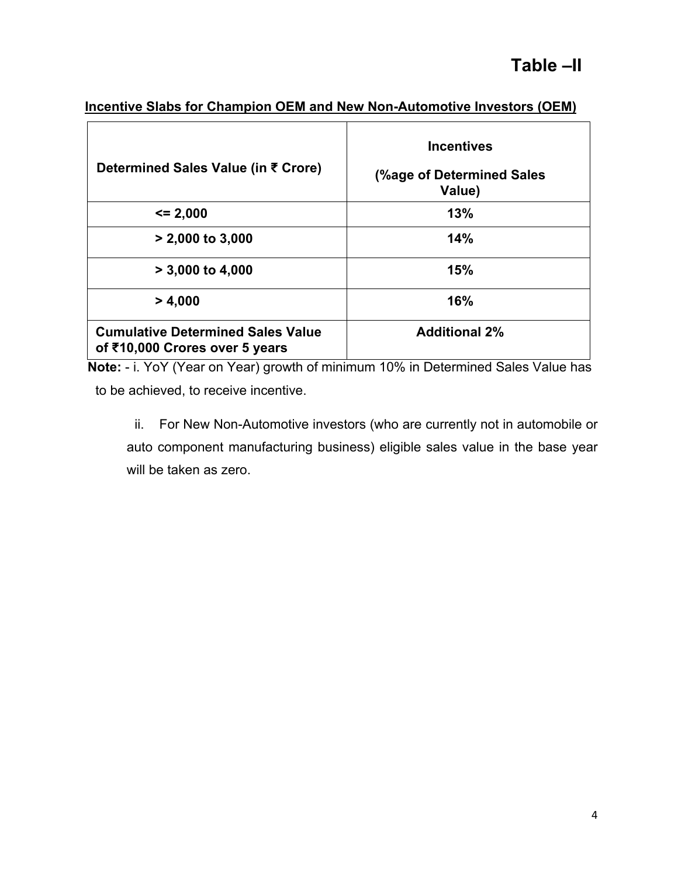| Incentive Slabs for Champion OEM and New Non-Automotive Investors (OEM) |  |
|-------------------------------------------------------------------------|--|
|                                                                         |  |

| Determined Sales Value (in ₹ Crore)                                        | <b>Incentives</b><br>(%age of Determined Sales<br>Value) |
|----------------------------------------------------------------------------|----------------------------------------------------------|
| $\leq$ 2,000                                                               | 13%                                                      |
| $> 2,000$ to 3,000                                                         | 14%                                                      |
| $> 3,000$ to 4,000                                                         | 15%                                                      |
| > 4,000                                                                    | 16%                                                      |
| <b>Cumulative Determined Sales Value</b><br>of ₹10,000 Crores over 5 years | <b>Additional 2%</b>                                     |

**Note:** - i. YoY (Year on Year) growth of minimum 10% in Determined Sales Value has to be achieved, to receive incentive.

ii. For New Non-Automotive investors (who are currently not in automobile or auto component manufacturing business) eligible sales value in the base year will be taken as zero.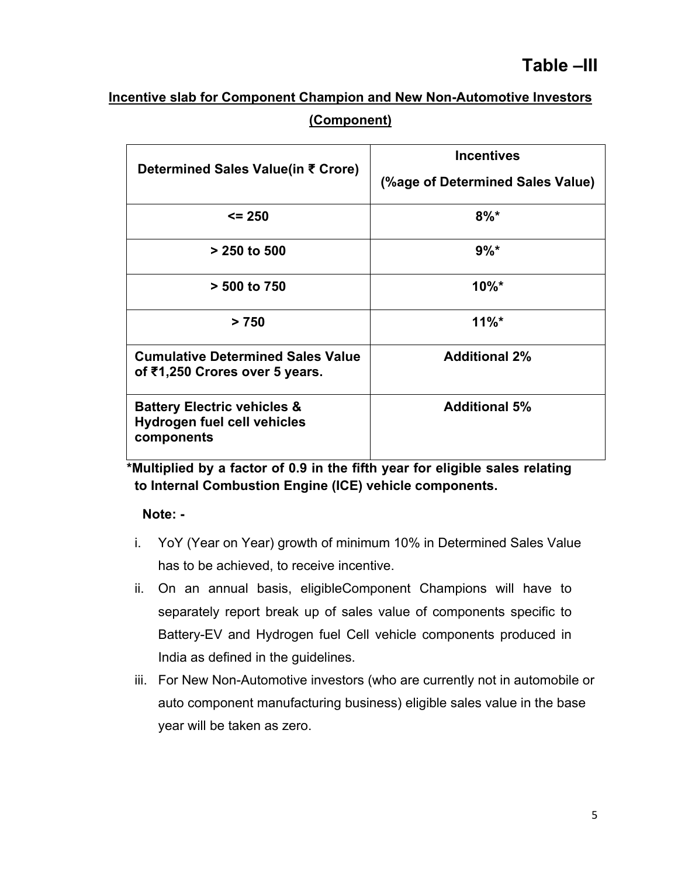## **Incentive slab for Component Champion and New Non-Automotive Investors (Component)**

| Determined Sales Value(in ₹ Crore)                                                         | <b>Incentives</b><br>(%age of Determined Sales Value) |
|--------------------------------------------------------------------------------------------|-------------------------------------------------------|
| $\leq$ 250                                                                                 | $8\%$ *                                               |
| $> 250$ to 500                                                                             | $9\%$ *                                               |
| > 500 to 750                                                                               | $10\%$ *                                              |
| > 750                                                                                      | $11\%$ <sup>*</sup>                                   |
| <b>Cumulative Determined Sales Value</b><br>of ₹1,250 Crores over 5 years.                 | <b>Additional 2%</b>                                  |
| <b>Battery Electric vehicles &amp;</b><br><b>Hydrogen fuel cell vehicles</b><br>components | <b>Additional 5%</b>                                  |

**\*Multiplied by a factor of 0.9 in the fifth year for eligible sales relating to Internal Combustion Engine (ICE) vehicle components.**

#### **Note: -**

- i. YoY (Year on Year) growth of minimum 10% in Determined Sales Value has to be achieved, to receive incentive.
- ii. On an annual basis, eligibleComponent Champions will have to separately report break up of sales value of components specific to Battery-EV and Hydrogen fuel Cell vehicle components produced in India as defined in the guidelines.
- iii. For New Non-Automotive investors (who are currently not in automobile or auto component manufacturing business) eligible sales value in the base year will be taken as zero.